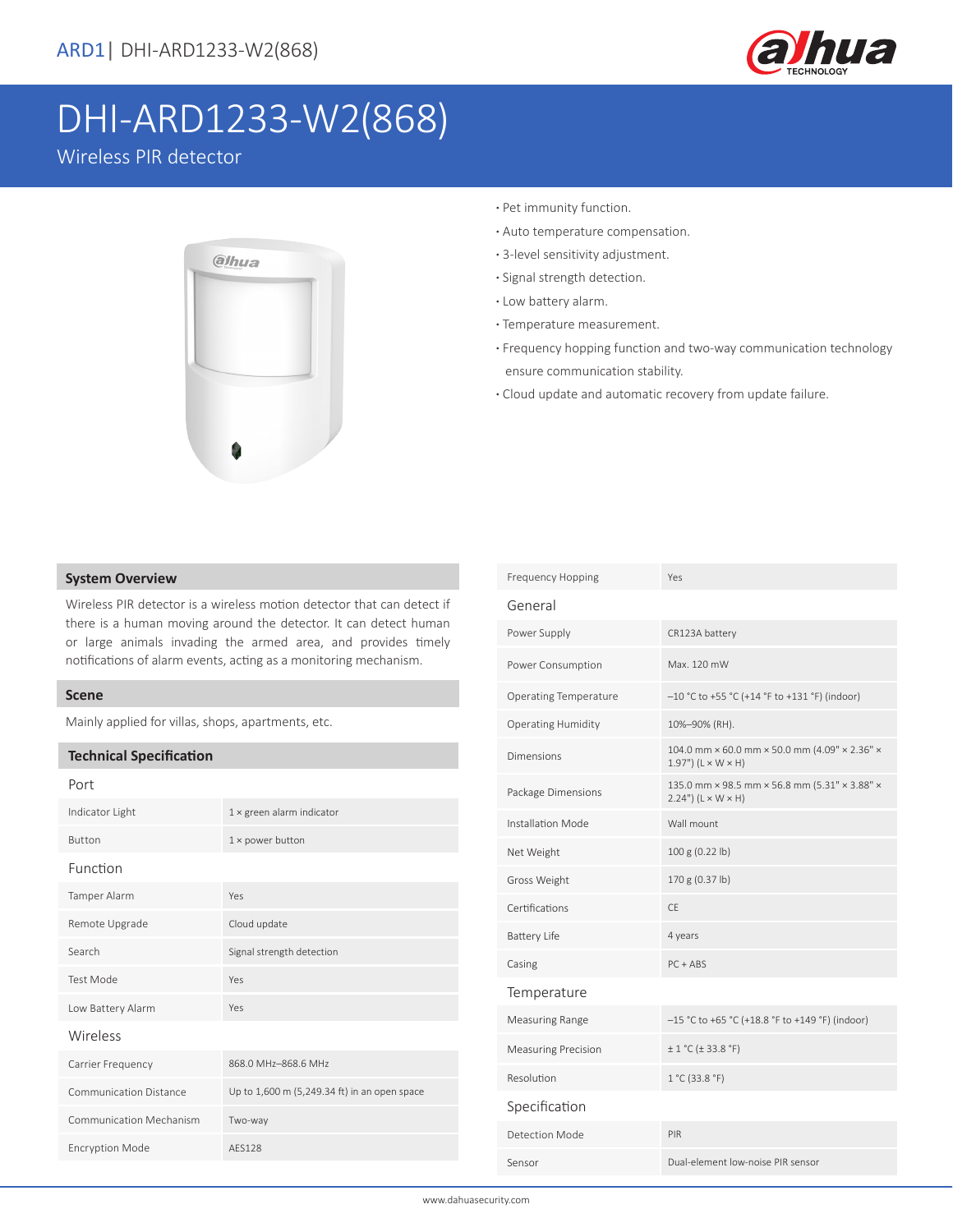

# DHI-ARD1233-W2(868)

Wireless PIR detector



- **·** Pet immunity function.
- **·** Auto temperature compensation.
- **·** 3-level sensitivity adjustment.
- **·** Signal strength detection.
- **·** Low battery alarm.
- **·** Temperature measurement.
- **·** Frequency hopping function and two-way communication technology ensure communication stability.
- **·** Cloud update and automatic recovery from update failure.

#### **System Overview**

Wireless PIR detector is a wireless motion detector that can detect if there is a human moving around the detector. It can detect human or large animals invading the armed area, and provides timely notifications of alarm events, acting as a monitoring mechanism.

### **Scene**

Mainly applied for villas, shops, apartments, etc.

### **Technical Specification**

| ×<br>۰. |
|---------|
|---------|

| Indicator Light               | $1 \times$ green alarm indicator             |
|-------------------------------|----------------------------------------------|
| <b>Button</b>                 | $1 \times$ power button                      |
| Function                      |                                              |
| Tamper Alarm                  | Yes                                          |
| Remote Upgrade                | Cloud update                                 |
| Search                        | Signal strength detection                    |
| <b>Test Mode</b>              | Yes                                          |
| Low Battery Alarm             | Yes                                          |
| Wireless                      |                                              |
| Carrier Frequency             | 868.0 MHz-868.6 MHz                          |
| <b>Communication Distance</b> | Up to 1,600 m (5,249.34 ft) in an open space |
| Communication Mechanism       | Two-way                                      |
| <b>Encryption Mode</b>        | AFS128                                       |
|                               |                                              |

| Frequency Hopping            | Yes                                                                                  |  |  |  |
|------------------------------|--------------------------------------------------------------------------------------|--|--|--|
| General                      |                                                                                      |  |  |  |
| Power Supply                 | CR123A battery                                                                       |  |  |  |
| Power Consumption            | Max. 120 mW                                                                          |  |  |  |
| <b>Operating Temperature</b> | -10 °C to +55 °C (+14 °F to +131 °F) (indoor)                                        |  |  |  |
| <b>Operating Humidity</b>    | 10%-90% (RH).                                                                        |  |  |  |
| <b>Dimensions</b>            | 104.0 mm × 60.0 mm × 50.0 mm (4.09" × 2.36" ×<br>$1.97"$ ) (L × W × H)               |  |  |  |
| Package Dimensions           | 135.0 mm × 98.5 mm × 56.8 mm (5.31" × 3.88" ×<br>$2.24$ ") ( $L \times W \times H$ ) |  |  |  |
| Installation Mode            | Wall mount                                                                           |  |  |  |
| Net Weight                   | 100 g (0.22 lb)                                                                      |  |  |  |
| Gross Weight                 | 170 g (0.37 lb)                                                                      |  |  |  |
| Certifications               | <b>CE</b>                                                                            |  |  |  |
| <b>Battery Life</b>          | 4 years                                                                              |  |  |  |
| Casing                       | $PC + ABS$                                                                           |  |  |  |
| Temperature                  |                                                                                      |  |  |  |
| Measuring Range              | $-15$ °C to +65 °C (+18.8 °F to +149 °F) (indoor)                                    |  |  |  |
| <b>Measuring Precision</b>   | $\pm$ 1 °C ( $\pm$ 33.8 °F)                                                          |  |  |  |
| Resolution                   | 1 °C (33.8 °F)                                                                       |  |  |  |
| Specification                |                                                                                      |  |  |  |
| Detection Mode               | PIR                                                                                  |  |  |  |
| Sensor                       | Dual-element low-noise PIR sensor                                                    |  |  |  |